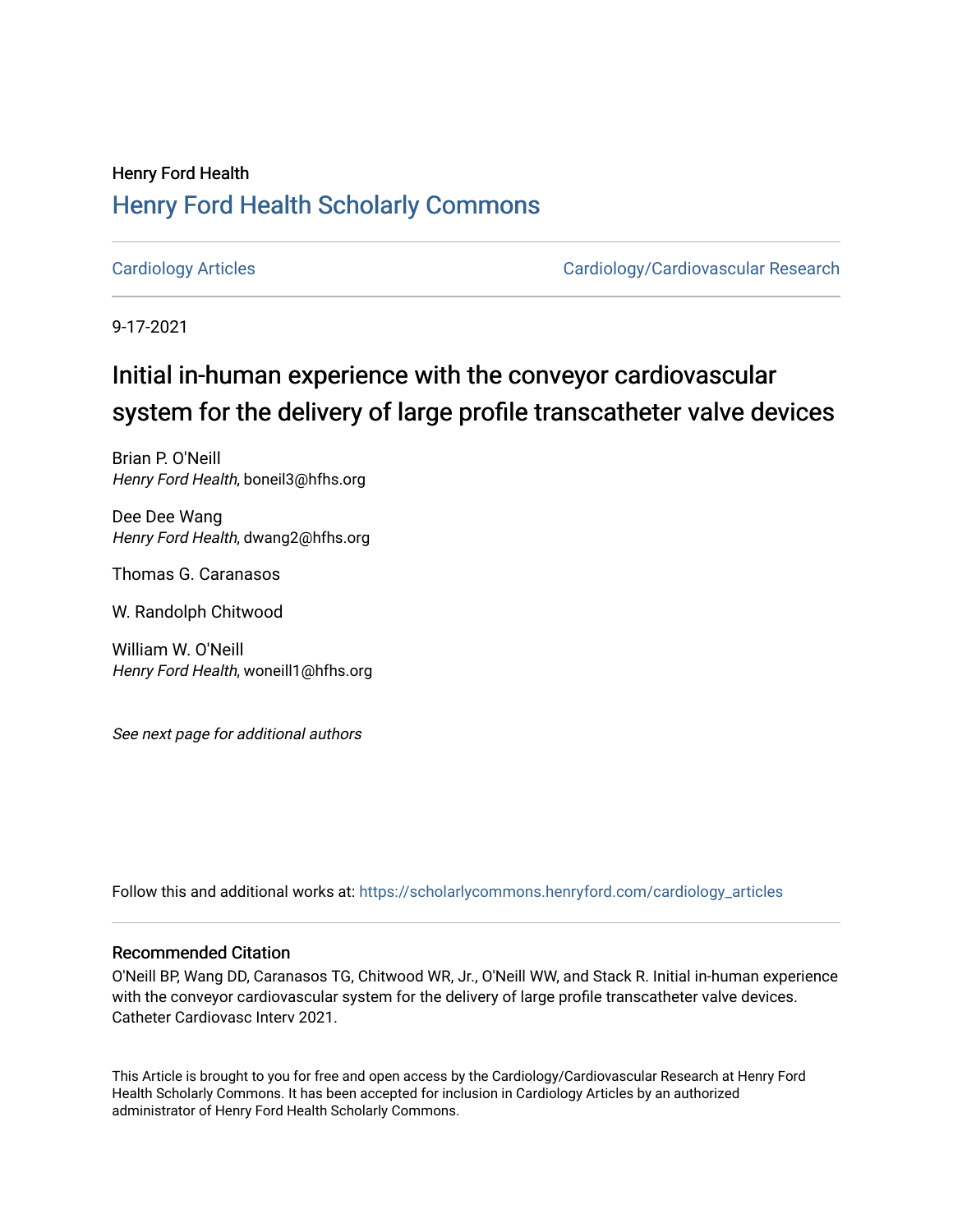## Henry Ford Health [Henry Ford Health Scholarly Commons](https://scholarlycommons.henryford.com/)

[Cardiology Articles](https://scholarlycommons.henryford.com/cardiology_articles) [Cardiology/Cardiovascular Research](https://scholarlycommons.henryford.com/cardiology) 

9-17-2021

## Initial in-human experience with the conveyor cardiovascular system for the delivery of large profile transcatheter valve devices

Brian P. O'Neill Henry Ford Health, boneil3@hfhs.org

Dee Dee Wang Henry Ford Health, dwang2@hfhs.org

Thomas G. Caranasos

W. Randolph Chitwood

William W. O'Neill Henry Ford Health, woneill1@hfhs.org

See next page for additional authors

Follow this and additional works at: [https://scholarlycommons.henryford.com/cardiology\\_articles](https://scholarlycommons.henryford.com/cardiology_articles?utm_source=scholarlycommons.henryford.com%2Fcardiology_articles%2F818&utm_medium=PDF&utm_campaign=PDFCoverPages)

## Recommended Citation

O'Neill BP, Wang DD, Caranasos TG, Chitwood WR, Jr., O'Neill WW, and Stack R. Initial in-human experience with the conveyor cardiovascular system for the delivery of large profile transcatheter valve devices. Catheter Cardiovasc Interv 2021.

This Article is brought to you for free and open access by the Cardiology/Cardiovascular Research at Henry Ford Health Scholarly Commons. It has been accepted for inclusion in Cardiology Articles by an authorized administrator of Henry Ford Health Scholarly Commons.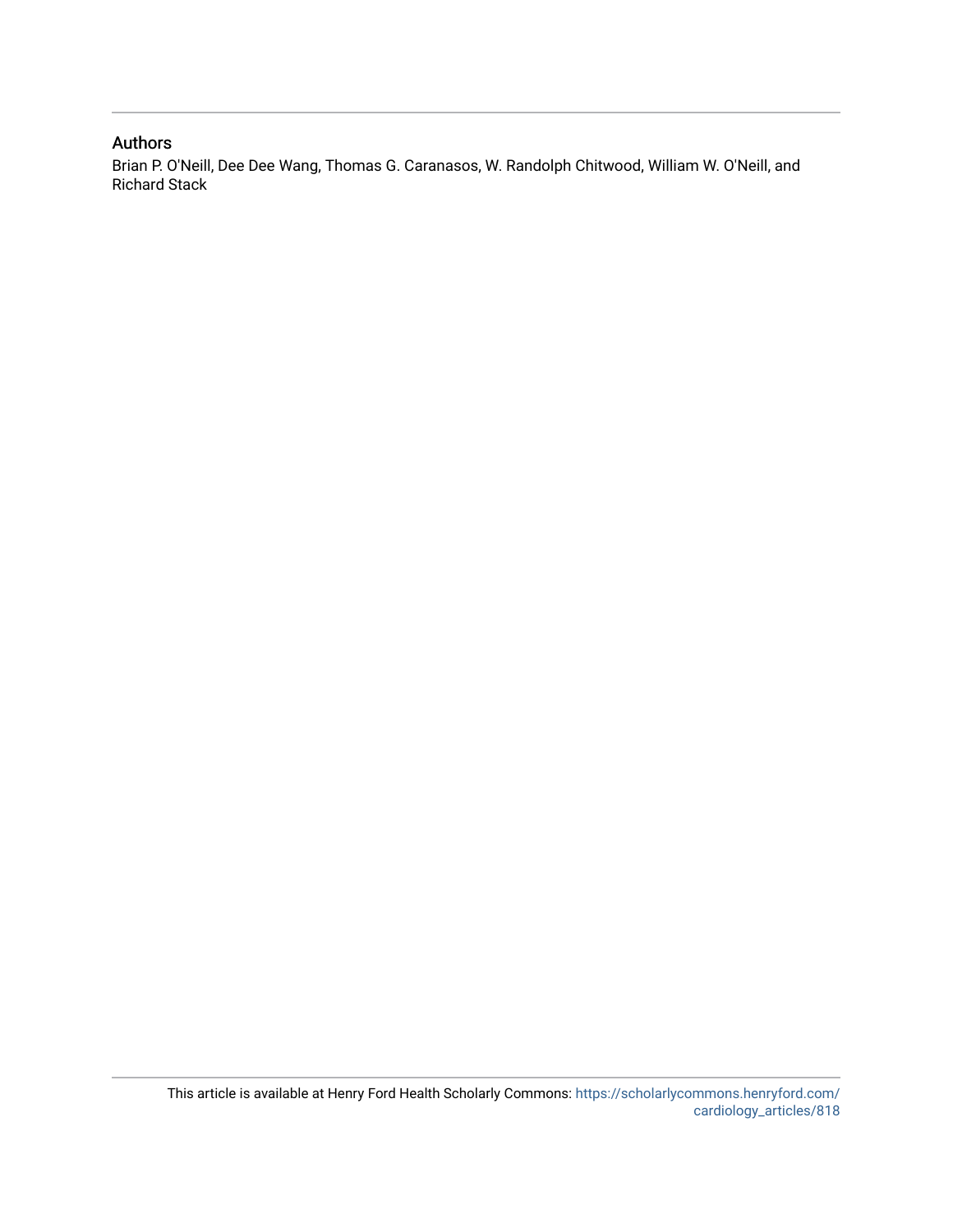## Authors

Brian P. O'Neill, Dee Dee Wang, Thomas G. Caranasos, W. Randolph Chitwood, William W. O'Neill, and Richard Stack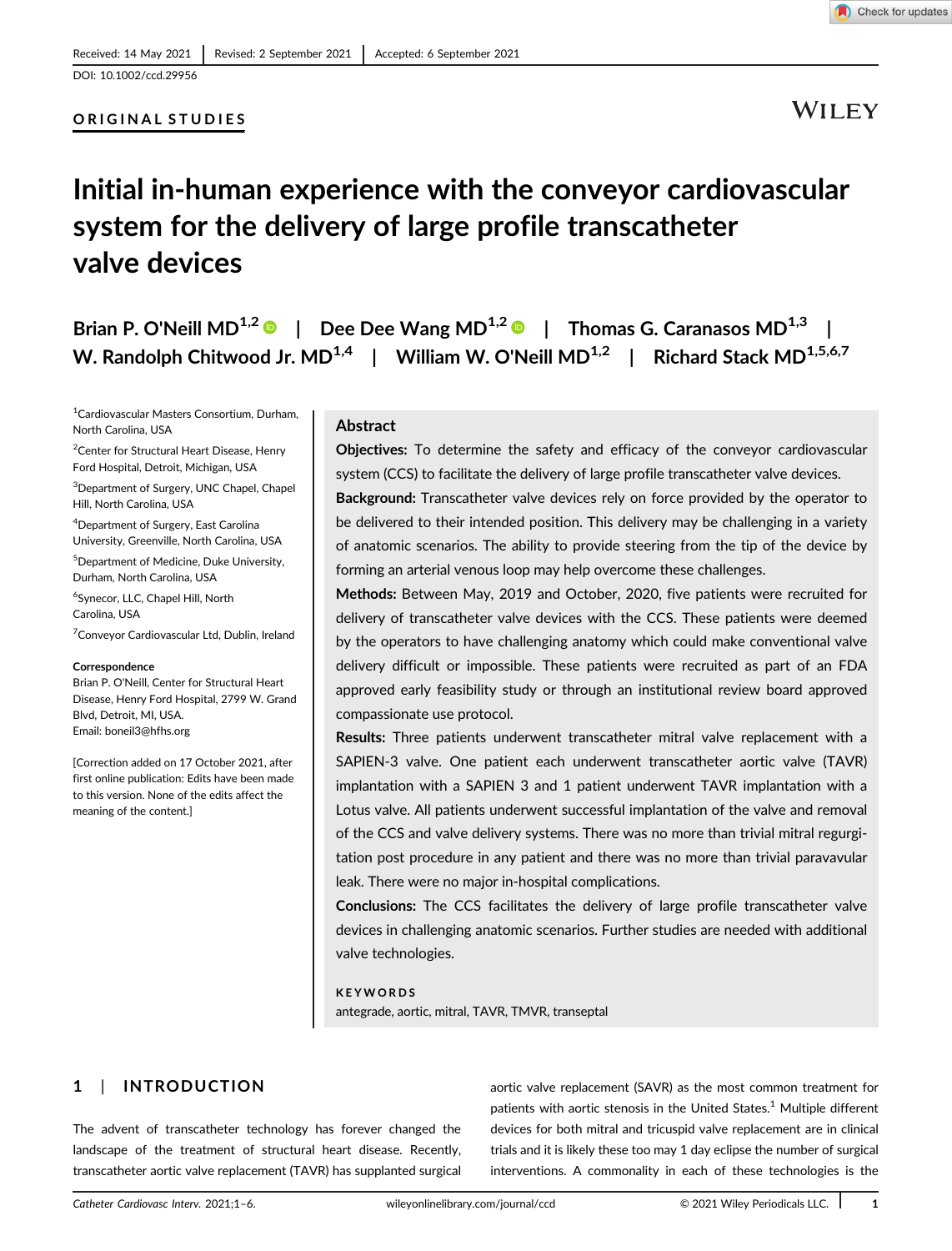

### ORIGINAL STUDIES



WILEY

## Initial in-human experience with the conveyor cardiovascular system for the delivery of large profile transcatheter valve devices

| Brian P. O'Neill $MD^{1,2}$         |                               |  | Dee Dee Wang MD <sup>1,2</sup> $\bullet$   Thomas G. Caranasos MD <sup>1,3</sup> |  |
|-------------------------------------|-------------------------------|--|----------------------------------------------------------------------------------|--|
| W. Randolph Chitwood Jr. $MD^{1,4}$ | William W. O'Neill $MD^{1,2}$ |  | Richard Stack MD <sup>1,5,6,7</sup>                                              |  |

1 Cardiovascular Masters Consortium, Durham, North Carolina, USA

<sup>2</sup> Center for Structural Heart Disease, Henry Ford Hospital, Detroit, Michigan, USA

<sup>3</sup>Department of Surgery, UNC Chapel, Chapel Hill, North Carolina, USA

4 Department of Surgery, East Carolina University, Greenville, North Carolina, USA

5 Department of Medicine, Duke University, Durham, North Carolina, USA

6 Synecor, LLC, Chapel Hill, North Carolina, USA

<sup>7</sup> Conveyor Cardiovascular Ltd, Dublin, Ireland

#### **Correspondence**

Brian P. O'Neill, Center for Structural Heart Disease, Henry Ford Hospital, 2799 W. Grand Blvd, Detroit, MI, USA. Email: [boneil3@hfhs.org](mailto:boneil3@hfhs.org)

[Correction added on 17 October 2021, after first online publication: Edits have been made to this version. None of the edits affect the meaning of the content.]

### Abstract

Objectives: To determine the safety and efficacy of the conveyor cardiovascular system (CCS) to facilitate the delivery of large profile transcatheter valve devices.

Background: Transcatheter valve devices rely on force provided by the operator to be delivered to their intended position. This delivery may be challenging in a variety of anatomic scenarios. The ability to provide steering from the tip of the device by forming an arterial venous loop may help overcome these challenges.

Methods: Between May, 2019 and October, 2020, five patients were recruited for delivery of transcatheter valve devices with the CCS. These patients were deemed by the operators to have challenging anatomy which could make conventional valve delivery difficult or impossible. These patients were recruited as part of an FDA approved early feasibility study or through an institutional review board approved compassionate use protocol.

Results: Three patients underwent transcatheter mitral valve replacement with a SAPIEN-3 valve. One patient each underwent transcatheter aortic valve (TAVR) implantation with a SAPIEN 3 and 1 patient underwent TAVR implantation with a Lotus valve. All patients underwent successful implantation of the valve and removal of the CCS and valve delivery systems. There was no more than trivial mitral regurgitation post procedure in any patient and there was no more than trivial paravavular leak. There were no major in-hospital complications.

Conclusions: The CCS facilitates the delivery of large profile transcatheter valve devices in challenging anatomic scenarios. Further studies are needed with additional valve technologies.

**KEYWORDS** antegrade, aortic, mitral, TAVR, TMVR, transeptal

## 1 | INTRODUCTION

The advent of transcatheter technology has forever changed the landscape of the treatment of structural heart disease. Recently, transcatheter aortic valve replacement (TAVR) has supplanted surgical

aortic valve replacement (SAVR) as the most common treatment for patients with aortic stenosis in the United States.<sup>1</sup> Multiple different devices for both mitral and tricuspid valve replacement are in clinical trials and it is likely these too may 1 day eclipse the number of surgical interventions. A commonality in each of these technologies is the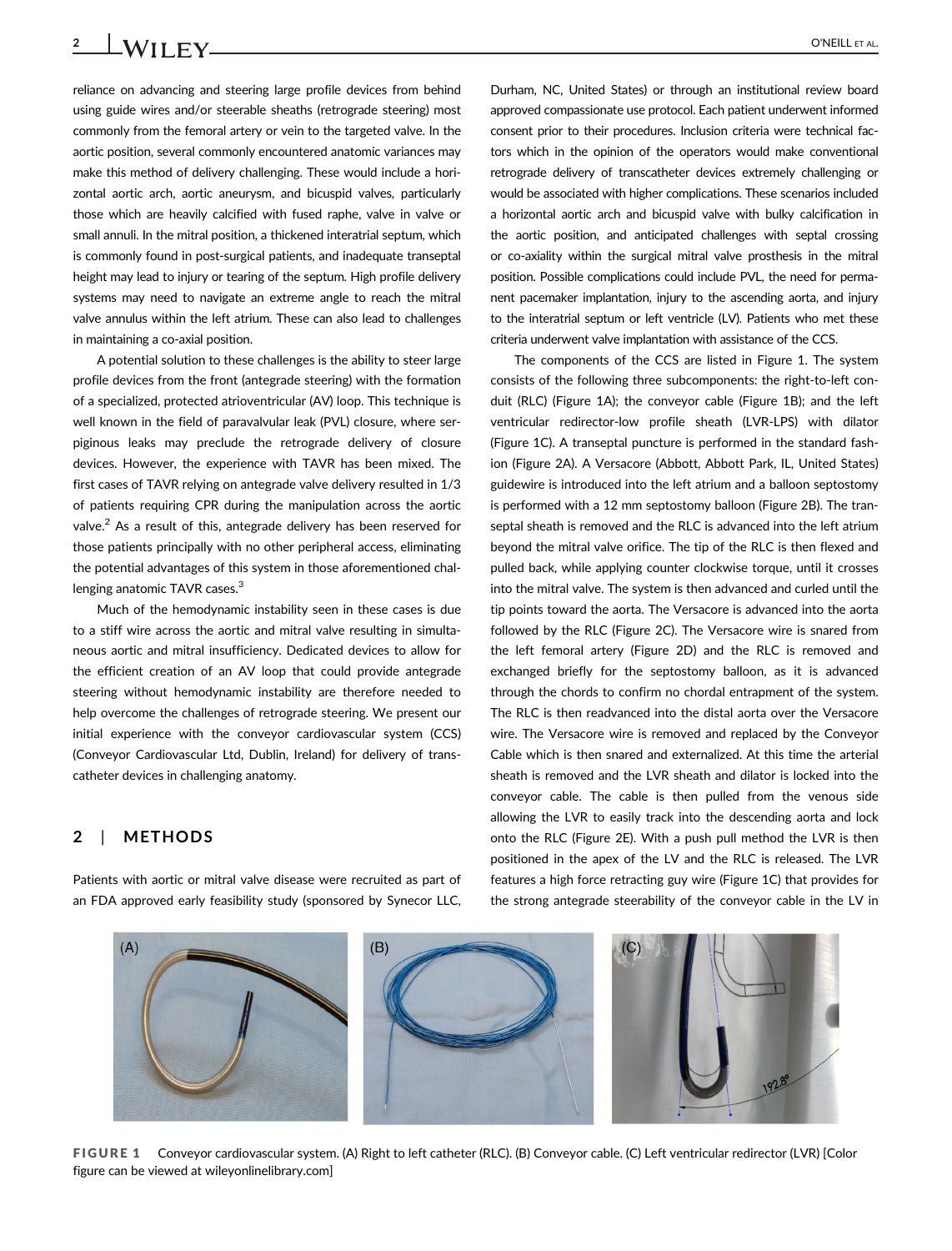reliance on advancing and steering large profile devices from behind using guide wires and/or steerable sheaths (retrograde steering) most commonly from the femoral artery or vein to the targeted valve. In the aortic position, several commonly encountered anatomic variances may make this method of delivery challenging. These would include a horizontal aortic arch, aortic aneurysm, and bicuspid valves, particularly those which are heavily calcified with fused raphe, valve in valve or small annuli. In the mitral position, a thickened interatrial septum, which is commonly found in post-surgical patients, and inadequate transeptal height may lead to injury or tearing of the septum. High profile delivery systems may need to navigate an extreme angle to reach the mitral valve annulus within the left atrium. These can also lead to challenges in maintaining a co-axial position.

A potential solution to these challenges is the ability to steer large profile devices from the front (antegrade steering) with the formation of a specialized, protected atrioventricular (AV) loop. This technique is well known in the field of paravalvular leak (PVL) closure, where serpiginous leaks may preclude the retrograde delivery of closure devices. However, the experience with TAVR has been mixed. The first cases of TAVR relying on antegrade valve delivery resulted in 1/3 of patients requiring CPR during the manipulation across the aortic valve. $<sup>2</sup>$  As a result of this, antegrade delivery has been reserved for</sup> those patients principally with no other peripheral access, eliminating the potential advantages of this system in those aforementioned challenging anatomic TAVR cases.<sup>3</sup>

Much of the hemodynamic instability seen in these cases is due to a stiff wire across the aortic and mitral valve resulting in simultaneous aortic and mitral insufficiency. Dedicated devices to allow for the efficient creation of an AV loop that could provide antegrade steering without hemodynamic instability are therefore needed to help overcome the challenges of retrograde steering. We present our initial experience with the conveyor cardiovascular system (CCS) (Conveyor Cardiovascular Ltd, Dublin, Ireland) for delivery of transcatheter devices in challenging anatomy.

### 2 | METHODS

Patients with aortic or mitral valve disease were recruited as part of an FDA approved early feasibility study (sponsored by Synecor LLC,

Durham, NC, United States) or through an institutional review board approved compassionate use protocol. Each patient underwent informed consent prior to their procedures. Inclusion criteria were technical factors which in the opinion of the operators would make conventional retrograde delivery of transcatheter devices extremely challenging or would be associated with higher complications. These scenarios included a horizontal aortic arch and bicuspid valve with bulky calcification in the aortic position, and anticipated challenges with septal crossing or co-axiality within the surgical mitral valve prosthesis in the mitral position. Possible complications could include PVL, the need for permanent pacemaker implantation, injury to the ascending aorta, and injury to the interatrial septum or left ventricle (LV). Patients who met these criteria underwent valve implantation with assistance of the CCS.

The components of the CCS are listed in Figure 1. The system consists of the following three subcomponents: the right-to-left conduit (RLC) (Figure 1A); the conveyor cable (Figure 1B); and the left ventricular redirector-low profile sheath (LVR-LPS) with dilator (Figure 1C). A transeptal puncture is performed in the standard fashion (Figure 2A). A Versacore (Abbott, Abbott Park, IL, United States) guidewire is introduced into the left atrium and a balloon septostomy is performed with a 12 mm septostomy balloon (Figure 2B). The transeptal sheath is removed and the RLC is advanced into the left atrium beyond the mitral valve orifice. The tip of the RLC is then flexed and pulled back, while applying counter clockwise torque, until it crosses into the mitral valve. The system is then advanced and curled until the tip points toward the aorta. The Versacore is advanced into the aorta followed by the RLC (Figure 2C). The Versacore wire is snared from the left femoral artery (Figure 2D) and the RLC is removed and exchanged briefly for the septostomy balloon, as it is advanced through the chords to confirm no chordal entrapment of the system. The RLC is then readvanced into the distal aorta over the Versacore wire. The Versacore wire is removed and replaced by the Conveyor Cable which is then snared and externalized. At this time the arterial sheath is removed and the LVR sheath and dilator is locked into the conveyor cable. The cable is then pulled from the venous side allowing the LVR to easily track into the descending aorta and lock onto the RLC (Figure 2E). With a push pull method the LVR is then positioned in the apex of the LV and the RLC is released. The LVR features a high force retracting guy wire (Figure 1C) that provides for the strong antegrade steerability of the conveyor cable in the LV in



FIGURE 1 Conveyor cardiovascular system. (A) Right to left catheter (RLC). (B) Conveyor cable. (C) Left ventricular redirector (LVR) [Color figure can be viewed at [wileyonlinelibrary.com](http://wileyonlinelibrary.com)]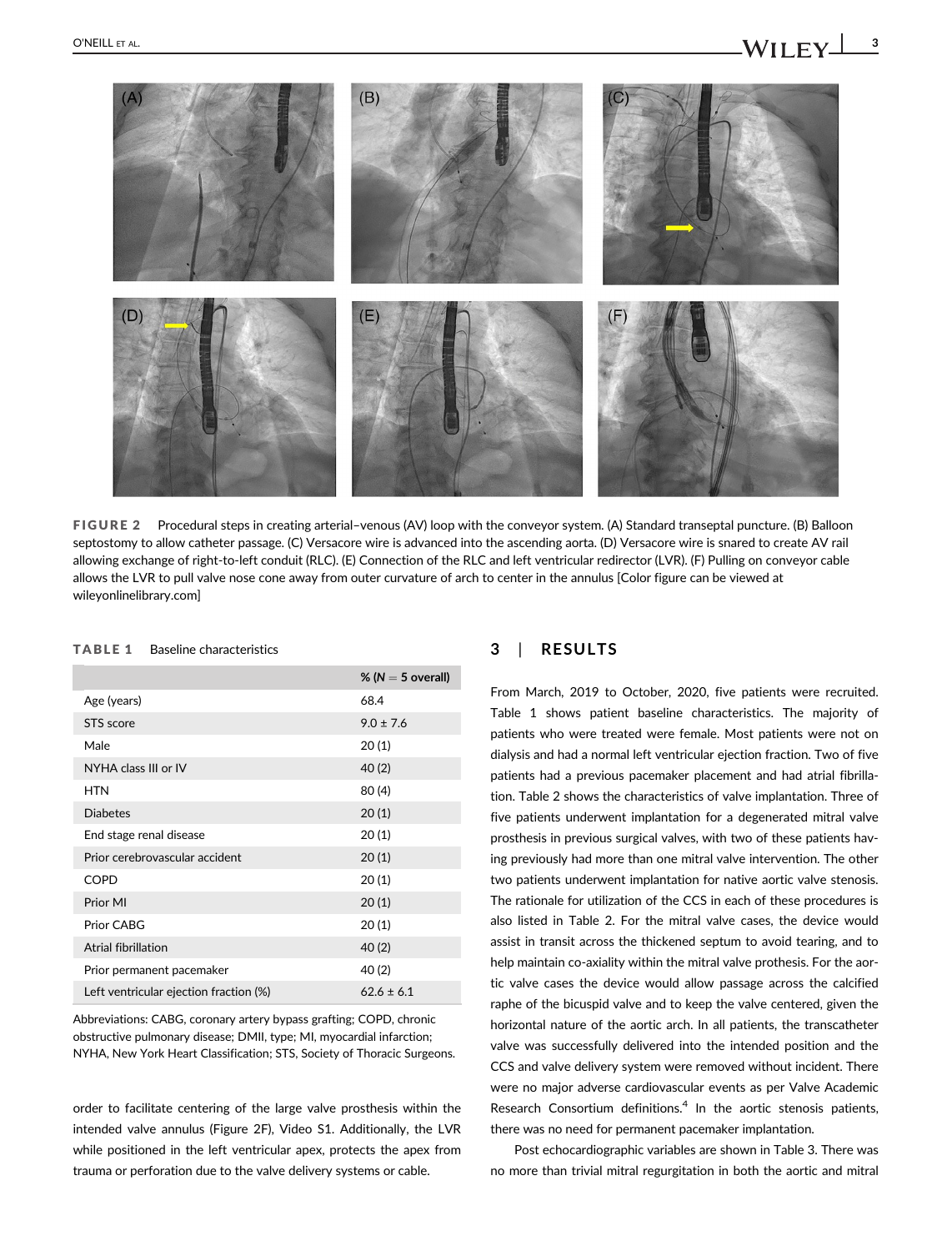

FIGURE 2 Procedural steps in creating arterial–venous (AV) loop with the conveyor system. (A) Standard transeptal puncture. (B) Balloon septostomy to allow catheter passage. (C) Versacore wire is advanced into the ascending aorta. (D) Versacore wire is snared to create AV rail allowing exchange of right-to-left conduit (RLC). (E) Connection of the RLC and left ventricular redirector (LVR). (F) Pulling on conveyor cable allows the LVR to pull valve nose cone away from outer curvature of arch to center in the annulus [Color figure can be viewed at [wileyonlinelibrary.com](http://wileyonlinelibrary.com)]

| Baseline characteristics<br><b>TABLE 1</b> |
|--------------------------------------------|
|                                            |

|                                        | % ( $N = 5$ overall) |
|----------------------------------------|----------------------|
| Age (years)                            | 68.4                 |
| STS score                              | $9.0 \pm 7.6$        |
| Male                                   | 20(1)                |
| NYHA class III or IV                   | 40(2)                |
| <b>HTN</b>                             | 80(4)                |
| <b>Diabetes</b>                        | 20(1)                |
| End stage renal disease                | 20(1)                |
| Prior cerebrovascular accident         | 20(1)                |
| <b>COPD</b>                            | 20(1)                |
| Prior MI                               | 20(1)                |
| Prior CABG                             | 20(1)                |
| Atrial fibrillation                    | 40(2)                |
| Prior permanent pacemaker              | 40 (2)               |
| Left ventricular ejection fraction (%) | $62.6 \pm 6.1$       |

Abbreviations: CABG, coronary artery bypass grafting; COPD, chronic obstructive pulmonary disease; DMII, type; MI, myocardial infarction; NYHA, New York Heart Classification; STS, Society of Thoracic Surgeons.

order to facilitate centering of the large valve prosthesis within the intended valve annulus (Figure 2F), Video S1. Additionally, the LVR while positioned in the left ventricular apex, protects the apex from trauma or perforation due to the valve delivery systems or cable.

## 3 | RESULTS

From March, 2019 to October, 2020, five patients were recruited. Table 1 shows patient baseline characteristics. The majority of patients who were treated were female. Most patients were not on dialysis and had a normal left ventricular ejection fraction. Two of five patients had a previous pacemaker placement and had atrial fibrillation. Table 2 shows the characteristics of valve implantation. Three of five patients underwent implantation for a degenerated mitral valve prosthesis in previous surgical valves, with two of these patients having previously had more than one mitral valve intervention. The other two patients underwent implantation for native aortic valve stenosis. The rationale for utilization of the CCS in each of these procedures is also listed in Table 2. For the mitral valve cases, the device would assist in transit across the thickened septum to avoid tearing, and to help maintain co-axiality within the mitral valve prothesis. For the aortic valve cases the device would allow passage across the calcified raphe of the bicuspid valve and to keep the valve centered, given the horizontal nature of the aortic arch. In all patients, the transcatheter valve was successfully delivered into the intended position and the CCS and valve delivery system were removed without incident. There were no major adverse cardiovascular events as per Valve Academic Research Consortium definitions. $4$  In the aortic stenosis patients, there was no need for permanent pacemaker implantation.

Post echocardiographic variables are shown in Table 3. There was no more than trivial mitral regurgitation in both the aortic and mitral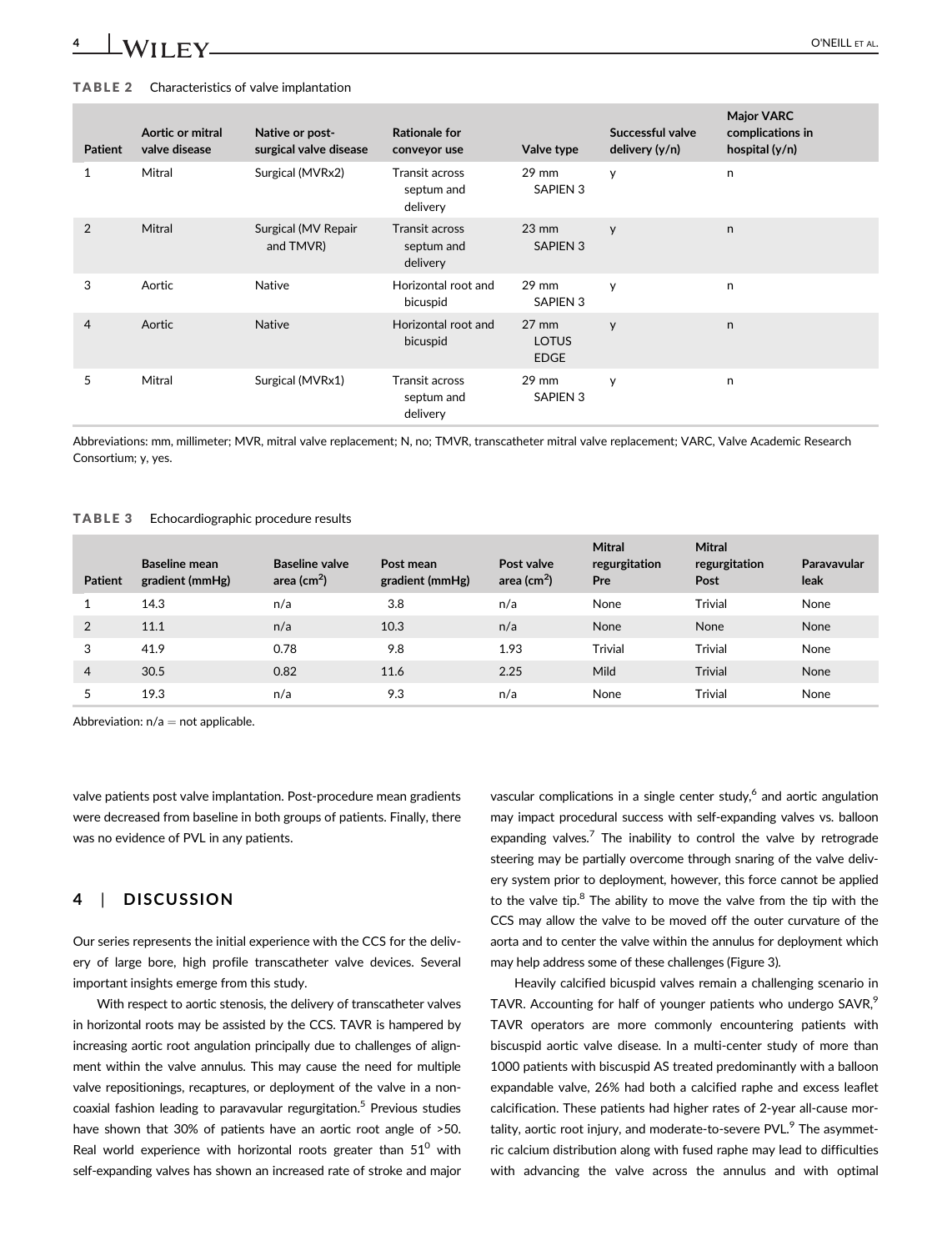## 4 | **WII EV** O'NEILL ET AL.

#### TABLE 2 Characteristics of valve implantation

| <b>Patient</b> | Aortic or mitral<br>valve disease | Native or post-<br>surgical valve disease | <b>Rationale for</b><br>conveyor use            | Valve type                                     | Successful valve<br>delivery (y/n) | <b>Major VARC</b><br>complications in<br>hospital $(y/n)$ |
|----------------|-----------------------------------|-------------------------------------------|-------------------------------------------------|------------------------------------------------|------------------------------------|-----------------------------------------------------------|
| 1              | Mitral                            | Surgical (MVRx2)                          | Transit across<br>septum and<br>delivery        | $29 \text{ mm}$<br><b>SAPIEN 3</b>             | y                                  | n                                                         |
| 2              | Mitral                            | Surgical (MV Repair<br>and TMVR)          | Transit across<br>septum and<br>delivery        | $23 \text{ mm}$<br><b>SAPIEN 3</b>             | y                                  | n.                                                        |
| 3              | Aortic                            | <b>Native</b>                             | Horizontal root and<br>bicuspid                 | $29$ mm<br>SAPIEN 3                            | y                                  | n                                                         |
| $\overline{4}$ | Aortic                            | <b>Native</b>                             | Horizontal root and<br>bicuspid                 | $27 \text{ mm}$<br><b>LOTUS</b><br><b>EDGE</b> | y                                  | n                                                         |
| 5              | Mitral                            | Surgical (MVRx1)                          | <b>Transit across</b><br>septum and<br>delivery | $29$ mm<br>SAPIEN 3                            | y                                  | n                                                         |

Abbreviations: mm, millimeter; MVR, mitral valve replacement; N, no; TMVR, transcatheter mitral valve replacement; VARC, Valve Academic Research Consortium; y, yes.

#### TABLE 3 Echocardiographic procedure results

| <b>Patient</b> | <b>Baseline mean</b><br>gradient (mmHg) | <b>Baseline valve</b><br>area (cm $2$ ) | Post mean<br>gradient (mmHg) | Post valve<br>area (cm $2$ ) | <b>Mitral</b><br>regurgitation<br>Pre | <b>Mitral</b><br>regurgitation<br>Post | Paravavular<br>leak |
|----------------|-----------------------------------------|-----------------------------------------|------------------------------|------------------------------|---------------------------------------|----------------------------------------|---------------------|
|                | 14.3                                    | n/a                                     | 3.8                          | n/a                          | None                                  | Trivial                                | None                |
| 2              | 11.1                                    | n/a                                     | 10.3                         | n/a                          | None                                  | None                                   | None                |
| 3              | 41.9                                    | 0.78                                    | 9.8                          | 1.93                         | <b>Trivial</b>                        | <b>Trivial</b>                         | None                |
| $\overline{4}$ | 30.5                                    | 0.82                                    | 11.6                         | 2.25                         | Mild                                  | <b>Trivial</b>                         | None                |
|                | 19.3                                    | n/a                                     | 9.3                          | n/a                          | None                                  | <b>Trivial</b>                         | None                |

Abbreviation:  $n/a = not$  applicable.

valve patients post valve implantation. Post-procedure mean gradients were decreased from baseline in both groups of patients. Finally, there was no evidence of PVL in any patients.

## 4 | DISCUSSION

Our series represents the initial experience with the CCS for the delivery of large bore, high profile transcatheter valve devices. Several important insights emerge from this study.

With respect to aortic stenosis, the delivery of transcatheter valves in horizontal roots may be assisted by the CCS. TAVR is hampered by increasing aortic root angulation principally due to challenges of alignment within the valve annulus. This may cause the need for multiple valve repositionings, recaptures, or deployment of the valve in a noncoaxial fashion leading to paravavular regurgitation.<sup>5</sup> Previous studies have shown that 30% of patients have an aortic root angle of >50. Real world experience with horizontal roots greater than  $51^{\circ}$  with self-expanding valves has shown an increased rate of stroke and major

vascular complications in a single center study,<sup>6</sup> and aortic angulation may impact procedural success with self-expanding valves vs. balloon expanding valves.<sup>7</sup> The inability to control the valve by retrograde steering may be partially overcome through snaring of the valve delivery system prior to deployment, however, this force cannot be applied to the valve tip. $8$  The ability to move the valve from the tip with the CCS may allow the valve to be moved off the outer curvature of the aorta and to center the valve within the annulus for deployment which may help address some of these challenges (Figure 3).

Heavily calcified bicuspid valves remain a challenging scenario in TAVR. Accounting for half of younger patients who undergo SAVR,<sup>9</sup> TAVR operators are more commonly encountering patients with biscuspid aortic valve disease. In a multi-center study of more than 1000 patients with biscuspid AS treated predominantly with a balloon expandable valve, 26% had both a calcified raphe and excess leaflet calcification. These patients had higher rates of 2-year all-cause mortality, aortic root injury, and moderate-to-severe PVL.<sup>9</sup> The asymmetric calcium distribution along with fused raphe may lead to difficulties with advancing the valve across the annulus and with optimal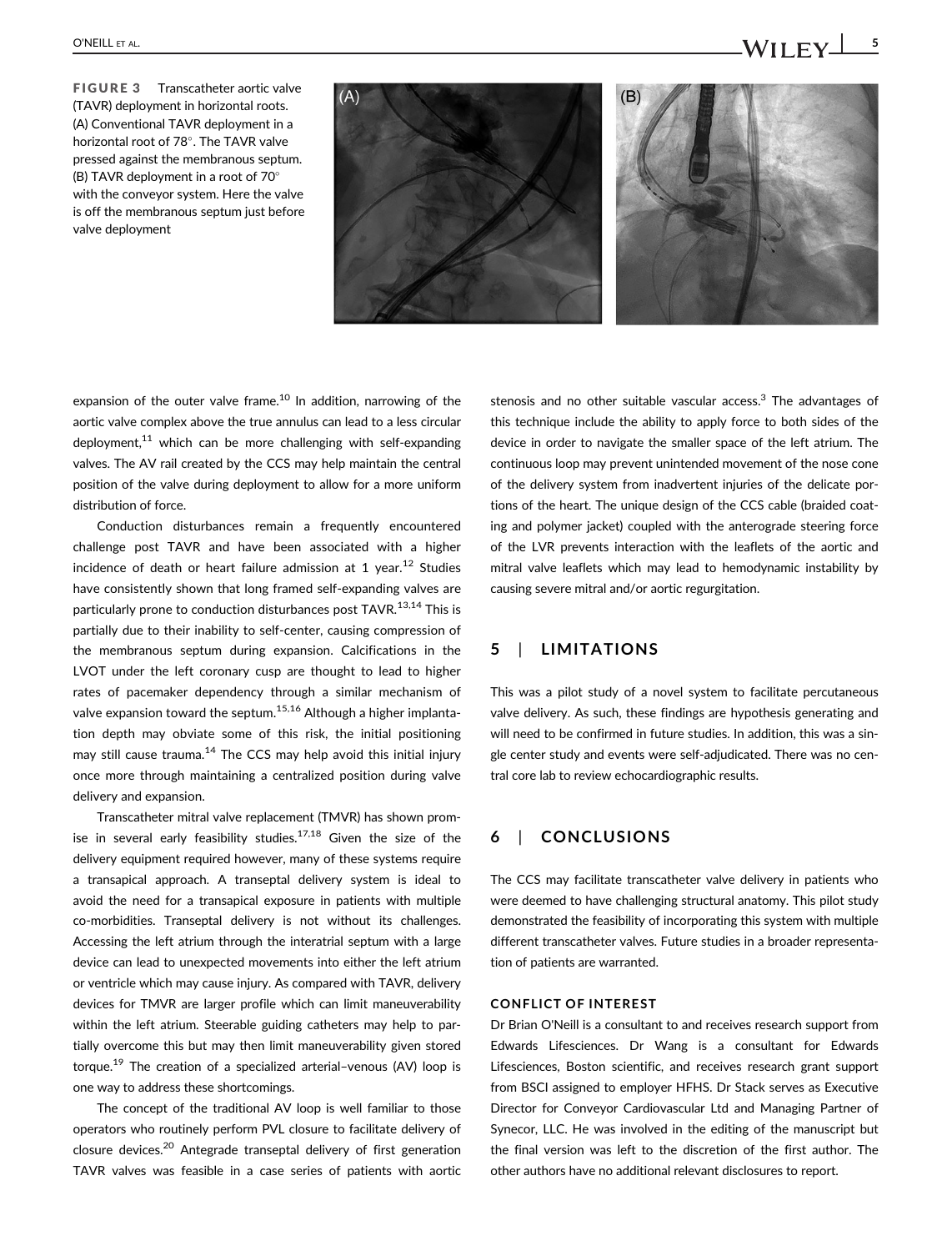FIGURE 3 Transcatheter aortic valve (TAVR) deployment in horizontal roots. (A) Conventional TAVR deployment in a horizontal root of 78°. The TAVR valve pressed against the membranous septum. (B) TAVR deployment in a root of 70 with the conveyor system. Here the valve is off the membranous septum just before valve deployment



expansion of the outer valve frame.<sup>10</sup> In addition, narrowing of the aortic valve complex above the true annulus can lead to a less circular deployment.<sup>11</sup> which can be more challenging with self-expanding valves. The AV rail created by the CCS may help maintain the central position of the valve during deployment to allow for a more uniform distribution of force.

Conduction disturbances remain a frequently encountered challenge post TAVR and have been associated with a higher incidence of death or heart failure admission at 1 year.<sup>12</sup> Studies have consistently shown that long framed self-expanding valves are particularly prone to conduction disturbances post TAVR.<sup>13,14</sup> This is partially due to their inability to self-center, causing compression of the membranous septum during expansion. Calcifications in the LVOT under the left coronary cusp are thought to lead to higher rates of pacemaker dependency through a similar mechanism of valve expansion toward the septum.<sup>15,16</sup> Although a higher implantation depth may obviate some of this risk, the initial positioning may still cause trauma. $14$  The CCS may help avoid this initial injury once more through maintaining a centralized position during valve delivery and expansion.

Transcatheter mitral valve replacement (TMVR) has shown promise in several early feasibility studies. $17,18$  Given the size of the delivery equipment required however, many of these systems require a transapical approach. A transeptal delivery system is ideal to avoid the need for a transapical exposure in patients with multiple co-morbidities. Transeptal delivery is not without its challenges. Accessing the left atrium through the interatrial septum with a large device can lead to unexpected movements into either the left atrium or ventricle which may cause injury. As compared with TAVR, delivery devices for TMVR are larger profile which can limit maneuverability within the left atrium. Steerable guiding catheters may help to partially overcome this but may then limit maneuverability given stored torque.<sup>19</sup> The creation of a specialized arterial-venous (AV) loop is one way to address these shortcomings.

The concept of the traditional AV loop is well familiar to those operators who routinely perform PVL closure to facilitate delivery of closure devices.20 Antegrade transeptal delivery of first generation TAVR valves was feasible in a case series of patients with aortic

stenosis and no other suitable vascular access.<sup>3</sup> The advantages of this technique include the ability to apply force to both sides of the device in order to navigate the smaller space of the left atrium. The continuous loop may prevent unintended movement of the nose cone of the delivery system from inadvertent injuries of the delicate portions of the heart. The unique design of the CCS cable (braided coating and polymer jacket) coupled with the anterograde steering force of the LVR prevents interaction with the leaflets of the aortic and mitral valve leaflets which may lead to hemodynamic instability by causing severe mitral and/or aortic regurgitation.

## 5 | LIMITATIONS

This was a pilot study of a novel system to facilitate percutaneous valve delivery. As such, these findings are hypothesis generating and will need to be confirmed in future studies. In addition, this was a single center study and events were self-adjudicated. There was no central core lab to review echocardiographic results.

## 6 | CONCLUSIONS

The CCS may facilitate transcatheter valve delivery in patients who were deemed to have challenging structural anatomy. This pilot study demonstrated the feasibility of incorporating this system with multiple different transcatheter valves. Future studies in a broader representation of patients are warranted.

#### CONFLICT OF INTEREST

Dr Brian O'Neill is a consultant to and receives research support from Edwards Lifesciences. Dr Wang is a consultant for Edwards Lifesciences, Boston scientific, and receives research grant support from BSCI assigned to employer HFHS. Dr Stack serves as Executive Director for Conveyor Cardiovascular Ltd and Managing Partner of Synecor, LLC. He was involved in the editing of the manuscript but the final version was left to the discretion of the first author. The other authors have no additional relevant disclosures to report.